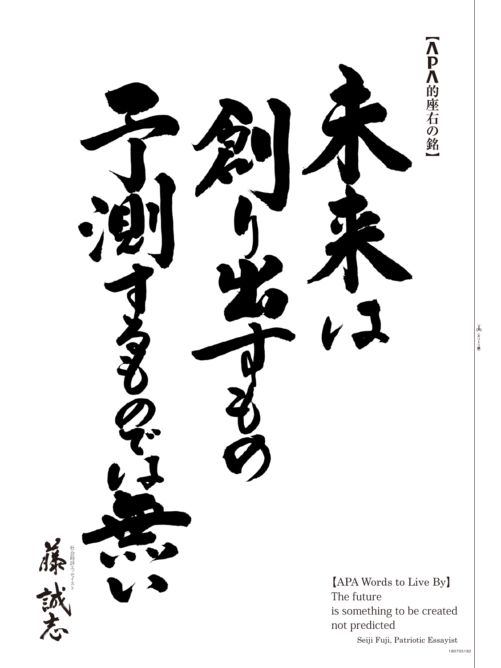